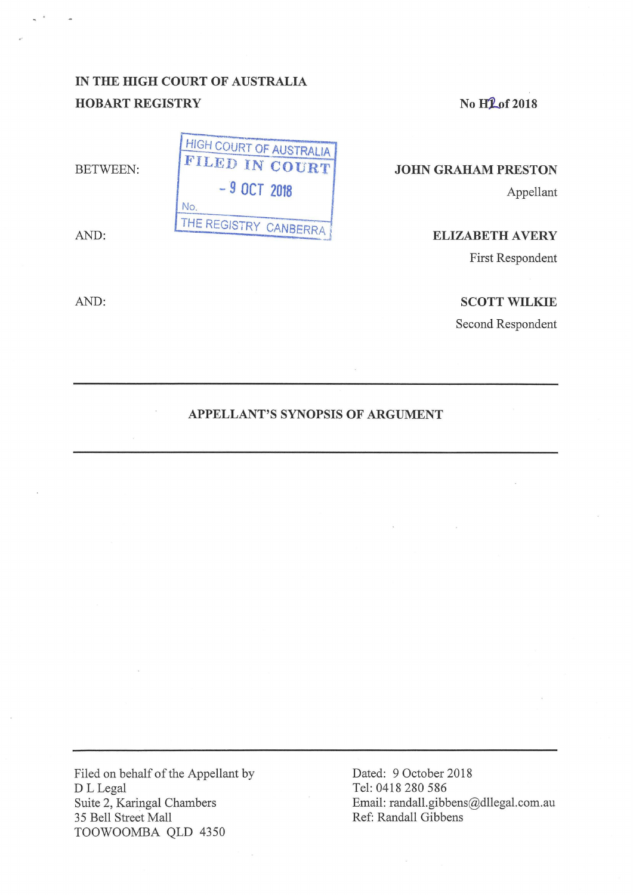# **IN THE HIGH COURT OF AUSTRALIA HOBART REGISTRY**

BETWEEN:

AND:

AND:

No H<sub>1</sub> of 2018

## **JOHN GRAHAM PRESTON**

Appellant

**ELIZABETH AVERY** 

First Respondent

### **SCOTT WILKIE**

Second Respondent

## **APPELLANT'S SYNOPSIS OF ARGUMENT**

Filed on behalf of the Appellant by D L Legal Suite 2, Karingal Chambers 35 Bell Street Mall TOOWOOMBA QLD 4350

Dated: 9 October 2018 Tel: 0418 280 586 Email: randall.gibbens@dllegal.com.au Ref: Randall Gibbens

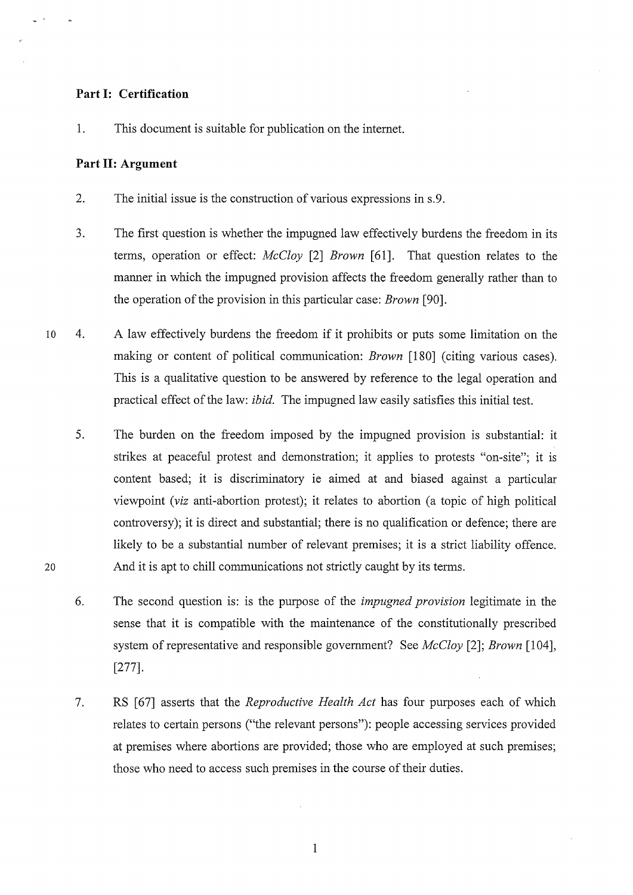### **Part 1: Certification**

1. This document is suitable for publication on the internet.

### **Part II: Argument**

20

- 2. The initial issue is the construction of various expressions in s.9.
- 3. The first question is whether the impugned law effectively burdens the freedom in its terms, operation or effect: *McCloy* [2] *Brown* [61]. That question relates to the manner in which the impugned provision affects the freedom generally rather than to the operation of the provision in this particular case: *Brown* [90].
- 10 4. A law effectively burdens the freedom if it prohibits or puts some limitation on the making or content of political communication: *Brown* [180] (citing various cases). This is a qualitative question to be answered by reference to the legal operation and practical effect of the law: *ibid.* The impugned law easily satisfies this initial test.
	- 5. The burden on the freedom imposed by the impugned provision is substantial: it strikes at peaceful protest and demonstration; it applies to protests "on-site"; it is content based; it is discriminatory ie aimed at and biased against a particular viewpoint *(viz* anti-abortion protest); it relates to abortion (a topic of high political controversy); it is direct and substantial; there is no qualification or defence; there are likely to be a substantial number of relevant premises; it is a strict liability offence. And it is apt to chill communications not strictly caught by its terms.
	- 6. The second question is: is the purpose of the *impugned provision* legitimate in the sense that it is compatible with the maintenance of the constitutionally prescribed system of representative and responsible government? See *McCloy* [2]; *Brown* [104], [277].
	- 7. RS [ 67] asserts that the *Reproductive Health Act* has four purposes each of which relates to certain persons ("the relevant persons"): people accessing services provided at premises where abortions are provided; those who are employed at such premises; those who need to access such premises in the course of their duties.

1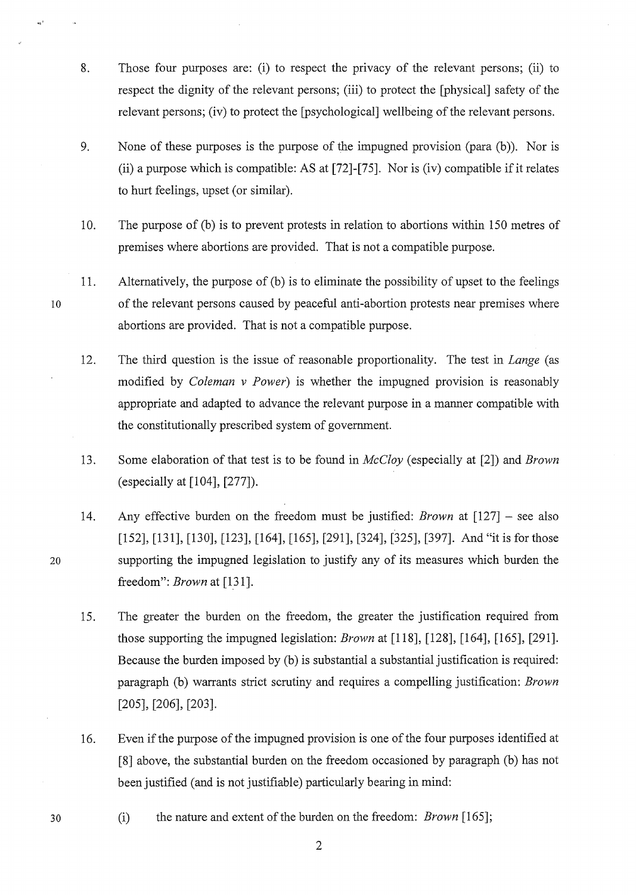- 8. Those four purposes are: (i) to respect the privacy of the relevant persons; (ii) to respect the dignity of the relevant persons; (iii) to protect the [physical] safety of the relevant persons; (iv) to protect the [psychological] wellbeing of the relevant persons.
- 9. None of these purposes is the purpose of the impugned provision (para (b)). Nor is (ii) a purpose which is compatible: AS at [72]-[75]. Nor is (iv) compatible if it relates to hurt feelings, upset (or similar).
- 10. The purpose of (b) is to prevent protests in relation to abortions within 150 metres of premises where abortions are provided. That is not a compatible purpose.
- 11. Alternatively, the purpose of (b) is to eliminate the possibility of upset to the feelings of the relevant persons caused by peaceful anti-abortion protests near premises where abortions are provided. That is not a compatible purpose.
- 12. The third question is the issue of reasonable proportionality. The test in *Lange* (as modified by *Coleman v Power)* is whether the impugned provision is reasonably appropriate and adapted to advance the relevant purpose in a manner compatible with the constitutionally prescribed system of government.
- 13. Some elaboration of that test is to be found in *McCloy* (especially at [2]) and *Brown*  (especially at [104], [277]).
- 14. Any effective burden on the freedom must be justified: *Brown* at [127] - see also [152], [131], [130], [123], [164], [165], [291], [324], [325], [397]. And "it is for those supporting the impugned legislation to justify any of its measures which burden the freedom": *Brown* at [131].
- 15. The greater the burden on the freedom, the greater the justification required from those supporting the impugned legislation: *Brown* at [118], [128], [164], [165], [291]. Because the burden imposed by (b) is substantial a substantial justification is required: paragraph (b) warrants strict scrutiny and requires a compelling justification: *Brown*  [205], [206], [203].
- 16. Even if the purpose of the impugned provision is one of the four purposes identified at [8] above, the substantial burden on the freedom occasioned by paragraph (b) has not been justified (and is not justifiable) particularly bearing in mind:
- (i) the nature and extent of the burden on the freedom: *Brown* [165];

10

 $m^2$ 

20

30